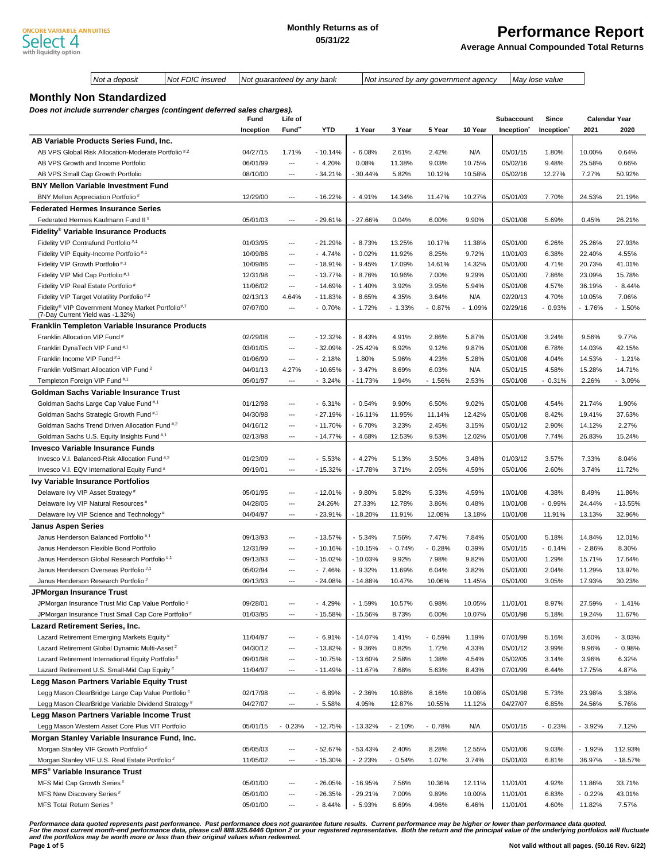**Average Annual Compounded Total Returns**

|                                                  | Not a deposit                                                           | Not FDIC insured<br>Not guaranteed by any bank |           |                          |            |           |          | Not insured by any government agency |          |                        | May lose value         |          |                      |
|--------------------------------------------------|-------------------------------------------------------------------------|------------------------------------------------|-----------|--------------------------|------------|-----------|----------|--------------------------------------|----------|------------------------|------------------------|----------|----------------------|
|                                                  |                                                                         |                                                |           |                          |            |           |          |                                      |          |                        |                        |          |                      |
|                                                  | <b>Monthly Non Standardized</b>                                         |                                                |           |                          |            |           |          |                                      |          |                        |                        |          |                      |
|                                                  | Does not include surrender charges (contingent deferred sales charges). |                                                | Fund      | Life of                  |            |           |          |                                      |          | Subaccount             | Since                  |          | <b>Calendar Year</b> |
|                                                  |                                                                         |                                                | Inception | Fund"                    | <b>YTD</b> | 1 Year    | 3 Year   | 5 Year                               | 10 Year  | Inception <sup>*</sup> | Inception <sup>®</sup> | 2021     | 2020                 |
|                                                  | AB Variable Products Series Fund, Inc.                                  |                                                |           |                          |            |           |          |                                      |          |                        |                        |          |                      |
|                                                  | AB VPS Global Risk Allocation-Moderate Portfolio <sup>#,2</sup>         |                                                | 04/27/15  | 1.71%                    | $-10.14%$  | $-6.08%$  | 2.61%    | 2.42%                                | N/A      | 05/01/15               | 1.80%                  | 10.00%   | 0.64%                |
|                                                  | AB VPS Growth and Income Portfolio                                      |                                                | 06/01/99  | $\overline{a}$           | $-4.20%$   | 0.08%     | 11.38%   | 9.03%                                | 10.75%   | 05/02/16               | 9.48%                  | 25.58%   | 0.66%                |
|                                                  | AB VPS Small Cap Growth Portfolio                                       |                                                | 08/10/00  | ---                      | - 34.21%   | - 30.44%  | 5.82%    | 10.12%                               | 10.58%   | 05/02/16               | 12.27%                 | 7.27%    | 50.92%               |
|                                                  | <b>BNY Mellon Variable Investment Fund</b>                              |                                                |           |                          |            |           |          |                                      |          |                        |                        |          |                      |
| BNY Mellon Appreciation Portfolio#               |                                                                         |                                                | 12/29/00  | ---                      | $-16.22%$  | $-4.91%$  | 14.34%   | 11.47%                               | 10.27%   | 05/01/03               | 7.70%                  | 24.53%   | 21.19%               |
|                                                  | <b>Federated Hermes Insurance Series</b>                                |                                                |           |                          |            |           |          |                                      |          |                        |                        |          |                      |
|                                                  | Federated Hermes Kaufmann Fund II <sup>#</sup>                          |                                                | 05/01/03  | ---                      | $-29.61%$  | $-27.66%$ | 0.04%    | 6.00%                                | 9.90%    | 05/01/08               | 5.69%                  | 0.45%    | 26.21%               |
|                                                  | Fidelity® Variable Insurance Products                                   |                                                |           |                          |            |           |          |                                      |          |                        |                        |          |                      |
| Fidelity VIP Contrafund Portfolio <sup>#,1</sup> |                                                                         |                                                | 01/03/95  | ---                      | $-21.29%$  | $-8.73%$  | 13.25%   | 10.17%                               | 11.38%   | 05/01/00               | 6.26%                  | 25.26%   | 27.93%               |
|                                                  | Fidelity VIP Equity-Income Portfolio <sup>#,1</sup>                     |                                                | 10/09/86  | ---                      | $-4.74%$   | $-0.02%$  | 11.92%   | 8.25%                                | 9.72%    | 10/01/03               | 6.38%                  | 22.40%   | 4.55%                |
| Fidelity VIP Growth Portfolio <sup>#,1</sup>     |                                                                         |                                                | 10/09/86  | $\overline{\phantom{a}}$ | - 18.91%   | $-9.45%$  | 17.09%   | 14.61%                               | 14.32%   | 05/01/00               | 4.71%                  | 20.73%   | 41.01%               |
| Fidelity VIP Mid Cap Portfolio <sup>#,1</sup>    |                                                                         |                                                | 12/31/98  | ---                      | - 13.77%   | $-8.76%$  | 10.96%   | 7.00%                                | 9.29%    | 05/01/00               | 7.86%                  | 23.09%   | 15.78%               |
| Fidelity VIP Real Estate Portfolio#              |                                                                         |                                                | 11/06/02  | ---                      | - 14.69%   | $-1.40%$  | 3.92%    | 3.95%                                | 5.94%    | 05/01/08               | 4.57%                  | 36.19%   | $-8.44%$             |
|                                                  | Fidelity VIP Target Volatility Portfolio <sup>#,2</sup>                 |                                                | 02/13/13  | 4.64%                    | $-11.83%$  | $-8.65%$  | 4.35%    | 3.64%                                | N/A      | 02/20/13               | 4.70%                  | 10.05%   | 7.06%                |
|                                                  | Fidelity® VIP Government Money Market Portfolio#,7                      |                                                | 07/07/00  | ---                      | $-0.70%$   | $-1.72%$  | $-1.33%$ | $-0.87%$                             | $-1.09%$ | 02/29/16               | $-0.93%$               | - 1.76%  | $-1.50%$             |
| (7-Day Current Yield was -1.32%)                 |                                                                         |                                                |           |                          |            |           |          |                                      |          |                        |                        |          |                      |
|                                                  | <b>Franklin Templeton Variable Insurance Products</b>                   |                                                |           |                          |            |           |          |                                      |          |                        |                        |          |                      |
| Franklin Allocation VIP Fund <sup>#</sup>        |                                                                         |                                                | 02/29/08  | ---                      | $-12.32%$  | $-8.43%$  | 4.91%    | 2.86%                                | 5.87%    | 05/01/08               | 3.24%                  | 9.56%    | 9.77%                |
| Franklin DynaTech VIP Fund <sup>#,1</sup>        |                                                                         |                                                | 03/01/05  | ---                      | $-32.09%$  | - 25.42%  | 6.92%    | 9.12%                                | 9.87%    | 05/01/08               | 6.78%                  | 14.03%   | 42.15%               |
| Franklin Income VIP Fund <sup>#,1</sup>          |                                                                         |                                                | 01/06/99  | $\overline{\phantom{a}}$ | $-2.18%$   | 1.80%     | 5.96%    | 4.23%                                | 5.28%    | 05/01/08               | 4.04%                  | 14.53%   | $-1.21%$             |
|                                                  | Franklin VolSmart Allocation VIP Fund <sup>2</sup>                      |                                                | 04/01/13  | 4.27%                    | $-10.65%$  | $-3.47%$  | 8.69%    | 6.03%                                | N/A      | 05/01/15               | 4.58%                  | 15.28%   | 14.71%               |
| Templeton Foreign VIP Fund <sup>#,1</sup>        |                                                                         |                                                | 05/01/97  | ---                      | $-3.24%$   | $-11.73%$ | 1.94%    | $-1.56%$                             | 2.53%    | 05/01/08               | $-0.31%$               | 2.26%    | $-3.09%$             |
|                                                  | Goldman Sachs Variable Insurance Trust                                  |                                                |           |                          |            |           |          |                                      |          |                        |                        |          |                      |
|                                                  | Goldman Sachs Large Cap Value Fund #,1                                  |                                                | 01/12/98  | ---                      | $-6.31%$   | $-0.54%$  | 9.90%    | 6.50%                                | 9.02%    | 05/01/08               | 4.54%                  | 21.74%   | 1.90%                |
|                                                  | Goldman Sachs Strategic Growth Fund <sup>#,1</sup>                      |                                                | 04/30/98  | ---                      | $-27.19%$  | - 16.11%  | 11.95%   | 11.14%                               | 12.42%   | 05/01/08               | 8.42%                  | 19.41%   | 37.63%               |
|                                                  | Goldman Sachs Trend Driven Allocation Fund <sup>#,2</sup>               |                                                | 04/16/12  | ---                      | $-11.70%$  | $-6.70%$  | 3.23%    | 2.45%                                | 3.15%    | 05/01/12               | 2.90%                  | 14.12%   | 2.27%                |
|                                                  | Goldman Sachs U.S. Equity Insights Fund #,1                             |                                                | 02/13/98  | ---                      | $-14.77%$  | $-4.68%$  | 12.53%   | 9.53%                                | 12.02%   | 05/01/08               | 7.74%                  | 26.83%   | 15.24%               |
|                                                  | Invesco Variable Insurance Funds                                        |                                                |           |                          |            |           |          |                                      |          |                        |                        |          |                      |
|                                                  | Invesco V.I. Balanced-Risk Allocation Fund <sup>#,2</sup>               |                                                | 01/23/09  | ---                      | $-5.53%$   | $-4.27%$  | 5.13%    | 3.50%                                | 3.48%    | 01/03/12               | 3.57%                  | 7.33%    | 8.04%                |
|                                                  | Invesco V.I. EQV International Equity Fund <sup>#</sup>                 |                                                | 09/19/01  | ---                      | - 15.32%   | $-17.78%$ | 3.71%    | 2.05%                                | 4.59%    | 05/01/06               | 2.60%                  | 3.74%    | 11.72%               |
|                                                  | Ivy Variable Insurance Portfolios                                       |                                                |           |                          |            |           |          |                                      |          |                        |                        |          |                      |
| Delaware Ivy VIP Asset Strategy <sup>#</sup>     |                                                                         |                                                | 05/01/95  | ---                      | $-12.01%$  | $-9.80%$  | 5.82%    | 5.33%                                | 4.59%    | 10/01/08               | 4.38%                  | 8.49%    | 11.86%               |
|                                                  | Delaware Ivy VIP Natural Resources <sup>#</sup>                         |                                                | 04/28/05  | ---                      | 24.26%     | 27.33%    | 12.78%   | 3.86%                                | 0.48%    | 10/01/08               | $-0.99%$               | 24.44%   | $-13.55%$            |
|                                                  | Delaware Ivy VIP Science and Technology <sup>#</sup>                    |                                                | 04/04/97  | ---                      | $-23.91%$  | $-18.20%$ | 11.91%   | 12.08%                               | 13.18%   | 10/01/08               | 11.91%                 | 13.13%   | 32.96%               |
| <b>Janus Aspen Series</b>                        |                                                                         |                                                |           |                          |            |           |          |                                      |          |                        |                        |          |                      |
|                                                  | Janus Henderson Balanced Portfolio <sup>#,1</sup>                       |                                                | 09/13/93  | ---                      | $-13.57%$  | $-5.34%$  | 7.56%    | 7.47%                                | 7.84%    | 05/01/00               | 5.18%                  | 14.84%   | 12.01%               |
|                                                  | Janus Henderson Flexible Bond Portfolio                                 |                                                | 12/31/99  | ---                      | $-10.16%$  | $-10.15%$ | $-0.74%$ | $-0.28%$                             | 0.39%    | 05/01/15               | $-0.14%$               | $-2.86%$ | 8.30%                |
|                                                  | Janus Henderson Global Research Portfolio #,1                           |                                                | 09/13/93  |                          | - 15.02%   | $-10.03%$ | 9.92%    | 7.98%                                | 9.82%    | 05/01/00               | 1.29%                  | 15.71%   | 17.64%               |
|                                                  | Janus Henderson Overseas Portfolio <sup>#,1</sup>                       |                                                | 05/02/94  | ---                      | $-7.46%$   | $-9.32%$  | 11.69%   | 6.04%                                | 3.82%    | 05/01/00               | 2.04%                  | 11.29%   | 13.97%               |
|                                                  | Janus Henderson Research Portfolio#                                     |                                                | 09/13/93  | ---                      | $-24.08%$  | $-14.88%$ | 10.47%   | 10.06%                               | 11.45%   | 05/01/00               | 3.05%                  | 17.93%   | 30.23%               |
| JPMorgan Insurance Trust                         |                                                                         |                                                |           |                          |            |           |          |                                      |          |                        |                        |          |                      |
|                                                  | JPMorgan Insurance Trust Mid Cap Value Portfolio#                       |                                                | 09/28/01  | ---                      | $-4.29%$   | $-1.59%$  | 10.57%   | 6.98%                                | 10.05%   | 11/01/01               | 8.97%                  | 27.59%   | $-1.41%$             |
|                                                  | JPMorgan Insurance Trust Small Cap Core Portfolio#                      |                                                | 01/03/95  | ---                      | - 15.58%   | $-15.56%$ | 8.73%    | 6.00%                                | 10.07%   | 05/01/98               | 5.18%                  | 19.24%   | 11.67%               |
| <b>Lazard Retirement Series, Inc.</b>            |                                                                         |                                                |           |                          |            |           |          |                                      |          |                        |                        |          |                      |
|                                                  | Lazard Retirement Emerging Markets Equity#                              |                                                | 11/04/97  | ---                      | $-6.91%$   | $-14.07%$ | 1.41%    | $-0.59%$                             | 1.19%    | 07/01/99               | 5.16%                  | 3.60%    | $-3.03%$             |
|                                                  | Lazard Retirement Global Dynamic Multi-Asset <sup>2</sup>               |                                                | 04/30/12  | ---                      | - 13.82%   | $-9.36%$  | 0.82%    | 1.72%                                | 4.33%    | 05/01/12               | 3.99%                  | 9.96%    | $-0.98%$             |
|                                                  | Lazard Retirement International Equity Portfolio <sup>#</sup>           |                                                | 09/01/98  | ---                      | $-10.75%$  | $-13.60%$ | 2.58%    | 1.38%                                | 4.54%    | 05/02/05               | 3.14%                  | 3.96%    | 6.32%                |
|                                                  | Lazard Retirement U.S. Small-Mid Cap Equity #                           |                                                | 11/04/97  | ---                      | - 11.49%   | - 11.67%  | 7.68%    | 5.63%                                | 8.43%    | 07/01/99               | 6.44%                  | 17.75%   | 4.87%                |
|                                                  | Legg Mason Partners Variable Equity Trust                               |                                                |           |                          |            |           |          |                                      |          |                        |                        |          |                      |
|                                                  | Legg Mason ClearBridge Large Cap Value Portfolio#                       |                                                | 02/17/98  | ---                      | $-6.89%$   | $-2.36%$  | 10.88%   | 8.16%                                | 10.08%   | 05/01/98               | 5.73%                  | 23.98%   | 3.38%                |
|                                                  | Legg Mason ClearBridge Variable Dividend Strategy#                      |                                                | 04/27/07  | ---                      | $-5.58%$   | 4.95%     | 12.87%   | 10.55%                               | 11.12%   | 04/27/07               | 6.85%                  | 24.56%   | 5.76%                |
|                                                  | Legg Mason Partners Variable Income Trust                               |                                                |           |                          |            |           |          |                                      |          |                        |                        |          |                      |
|                                                  | Legg Mason Western Asset Core Plus VIT Portfolio                        |                                                | 05/01/15  | $-0.23%$                 | $-12.75%$  | - 13.32%  | $-2.10%$ | $-0.78%$                             | N/A      | 05/01/15               | $-0.23%$               | $-3.92%$ | 7.12%                |
|                                                  | Morgan Stanley Variable Insurance Fund, Inc.                            |                                                |           |                          |            |           |          |                                      |          |                        |                        |          |                      |
|                                                  | Morgan Stanley VIF Growth Portfolio#                                    |                                                | 05/05/03  | ---                      | $-52.67%$  | - 53.43%  | 2.40%    | 8.28%                                | 12.55%   | 05/01/06               | 9.03%                  | $-1.92%$ | 112.93%              |
|                                                  | Morgan Stanley VIF U.S. Real Estate Portfolio#                          |                                                | 11/05/02  | ---                      | - 15.30%   | $-2.23%$  | $-0.54%$ | 1.07%                                | 3.74%    | 05/01/03               | 6.81%                  | 36.97%   | $-18.57%$            |
| <b>MFS<sup>®</sup> Variable Insurance Trust</b>  |                                                                         |                                                |           |                          |            |           |          |                                      |          |                        |                        |          |                      |
| MFS Mid Cap Growth Series <sup>#</sup>           |                                                                         |                                                | 05/01/00  | ---                      | $-26.05%$  | - 16.95%  | 7.56%    | 10.36%                               | 12.11%   | 11/01/01               | 4.92%                  | 11.86%   | 33.71%               |
| MFS New Discovery Series <sup>#</sup>            |                                                                         |                                                | 05/01/00  | ---                      | $-26.35%$  | $-29.21%$ | 7.00%    | 9.89%                                | 10.00%   | 11/01/01               | 6.83%                  | $-0.22%$ | 43.01%               |
| MFS Total Return Series#                         |                                                                         |                                                | 05/01/00  | ---                      | $-8.44%$   | $-5.93%$  | 6.69%    | 4.96%                                | 6.46%    | 11/01/01               | 4.60%                  | 11.82%   | 7.57%                |

Performance data quoted represents past performance. Past performance does not guarantee future results. Current performance may be higher or lower than performance data quoted.<br>For the most current month-end performance d **Page 1 of 5 Not valid without all pages. (50.16 Rev. 6/22) Not valid without all pages. (50.16 Rev. 6/22)**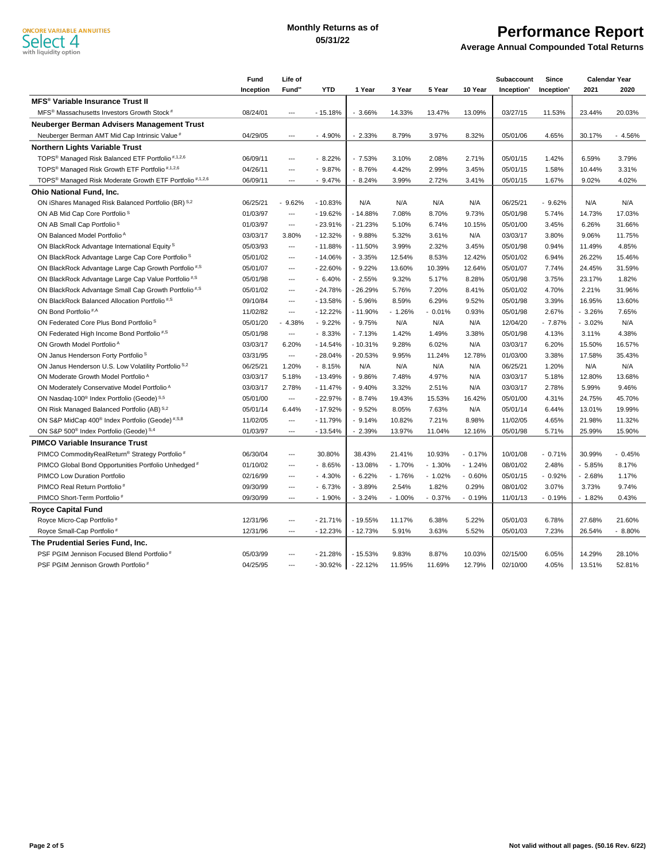#### **Monthly Returns as of 05/31/22**

## **Performance Report**

**Average Annual Compounded Total Returns**

|                                                                                 | Fund      | Life of                  |            |           |           |          |          | Subaccount             | Since     |          | <b>Calendar Year</b> |
|---------------------------------------------------------------------------------|-----------|--------------------------|------------|-----------|-----------|----------|----------|------------------------|-----------|----------|----------------------|
|                                                                                 | Inception | Fund"                    | <b>YTD</b> | 1 Year    | 3 Year    | 5 Year   | 10 Year  | Inception <sup>*</sup> | Inception | 2021     | 2020                 |
| <b>MFS<sup>®</sup> Variable Insurance Trust II</b>                              |           |                          |            |           |           |          |          |                        |           |          |                      |
| MFS <sup>®</sup> Massachusetts Investors Growth Stock <sup>#</sup>              | 08/24/01  | ---                      | $-15.18%$  | 3.66%     | 14.33%    | 13.47%   | 13.09%   | 03/27/15               | 11.53%    | 23.44%   | 20.03%               |
| Neuberger Berman Advisers Management Trust                                      |           |                          |            |           |           |          |          |                        |           |          |                      |
| Neuberger Berman AMT Mid Cap Intrinsic Value #                                  | 04/29/05  | ---                      | $-4.90%$   | $-2.33%$  | 8.79%     | 3.97%    | 8.32%    | 05/01/06               | 4.65%     | 30.17%   | $-4.56%$             |
| <b>Northern Lights Variable Trust</b>                                           |           |                          |            |           |           |          |          |                        |           |          |                      |
| TOPS <sup>®</sup> Managed Risk Balanced ETF Portfolio <sup>#,1,2,6</sup>        | 06/09/11  | ---                      | $-8.22%$   | $-7.53%$  | 3.10%     | 2.08%    | 2.71%    | 05/01/15               | 1.42%     | 6.59%    | 3.79%                |
| TOPS <sup>®</sup> Managed Risk Growth ETF Portfolio <sup>#,1,2,6</sup>          | 04/26/11  | $\overline{a}$           | $-9.87%$   | $-8.76%$  | 4.42%     | 2.99%    | 3.45%    | 05/01/15               | 1.58%     | 10.44%   | 3.31%                |
| TOPS <sup>®</sup> Managed Risk Moderate Growth ETF Portfolio <sup>#,1,2,6</sup> | 06/09/11  | $\overline{a}$           | $-9.47%$   | $-8.24%$  | 3.99%     | 2.72%    | 3.41%    | 05/01/15               | 1.67%     | 9.02%    | 4.02%                |
| <b>Ohio National Fund, Inc.</b>                                                 |           |                          |            |           |           |          |          |                        |           |          |                      |
| ON iShares Managed Risk Balanced Portfolio (BR) S,2                             | 06/25/21  | 9.62%                    | $-10.83%$  | N/A       | N/A       | N/A      | N/A      | 06/25/21               | $-9.62%$  | N/A      | N/A                  |
| ON AB Mid Cap Core Portfolio <sup>S</sup>                                       | 01/03/97  | ---                      | $-19.62%$  | $-14.88%$ | 7.08%     | 8.70%    | 9.73%    | 05/01/98               | 5.74%     | 14.73%   | 17.03%               |
| ON AB Small Cap Portfolio <sup>S</sup>                                          | 01/03/97  | ---                      | $-23.91%$  | $-21.23%$ | 5.10%     | 6.74%    | 10.15%   | 05/01/00               | 3.45%     | 6.26%    | 31.66%               |
| ON Balanced Model Portfolio <sup>A</sup>                                        | 03/03/17  | 3.80%                    | $-12.32%$  | $-9.88%$  | 5.32%     | 3.61%    | N/A      | 03/03/17               | 3.80%     | 9.06%    | 11.75%               |
| ON BlackRock Advantage International Equity <sup>S</sup>                        | 05/03/93  | ---                      | $-11.88%$  | $-11.50%$ | 3.99%     | 2.32%    | 3.45%    | 05/01/98               | 0.94%     | 11.49%   | 4.85%                |
| ON BlackRock Advantage Large Cap Core Portfolio <sup>S</sup>                    | 05/01/02  | $\overline{a}$           | $-14.06%$  | $-3.35%$  | 12.54%    | 8.53%    | 12.42%   | 05/01/02               | 6.94%     | 26.22%   | 15.46%               |
| ON BlackRock Advantage Large Cap Growth Portfolio <sup>#,S</sup>                | 05/01/07  | ---                      | $-22.60%$  | $-9.22%$  | 13.60%    | 10.39%   | 12.64%   | 05/01/07               | 7.74%     | 24.45%   | 31.59%               |
| ON BlackRock Advantage Large Cap Value Portfolio <sup>#,S</sup>                 | 05/01/98  | $\overline{a}$           | $-6.40%$   | $-2.55%$  | 9.32%     | 5.17%    | 8.28%    | 05/01/98               | 3.75%     | 23.17%   | 1.82%                |
| ON BlackRock Advantage Small Cap Growth Portfolio <sup>#,S</sup>                | 05/01/02  | ---                      | $-24.78%$  | $-26.29%$ | 5.76%     | 7.20%    | 8.41%    | 05/01/02               | 4.70%     | 2.21%    | 31.96%               |
| ON BlackRock Balanced Allocation Portfolio <sup>#,S</sup>                       | 09/10/84  | $\overline{a}$           | $-13.58%$  | $-5.96%$  | 8.59%     | 6.29%    | 9.52%    | 05/01/98               | 3.39%     | 16.95%   | 13.60%               |
| ON Bond Portfolio <sup>#,A</sup>                                                | 11/02/82  | ---                      | $-12.22%$  | $-11.90%$ | $-1.26%$  | $-0.01%$ | 0.93%    | 05/01/98               | 2.67%     | $-3.26%$ | 7.65%                |
| ON Federated Core Plus Bond Portfolio <sup>S</sup>                              | 05/01/20  | $-4.38%$                 | $-9.22%$   | $-9.75%$  | N/A       | N/A      | N/A      | 12/04/20               | $-7.87%$  | $-3.02%$ | N/A                  |
| ON Federated High Income Bond Portfolio <sup>#,S</sup>                          | 05/01/98  | ---                      | $-8.33%$   | $-7.13%$  | 1.42%     | 1.49%    | 3.38%    | 05/01/98               | 4.13%     | 3.11%    | 4.38%                |
| ON Growth Model Portfolio <sup>A</sup>                                          | 03/03/17  | 6.20%                    | $-14.54%$  | $-10.31%$ | 9.28%     | 6.02%    | N/A      | 03/03/17               | 6.20%     | 15.50%   | 16.57%               |
| ON Janus Henderson Forty Portfolio <sup>S</sup>                                 | 03/31/95  | ---                      | $-28.04%$  | $-20.53%$ | 9.95%     | 11.24%   | 12.78%   | 01/03/00               | 3.38%     | 17.58%   | 35.43%               |
| ON Janus Henderson U.S. Low Volatility Portfolio <sup>S,2</sup>                 | 06/25/21  | 1.20%                    | $-8.15%$   | N/A       | N/A       | N/A      | N/A      | 06/25/21               | 1.20%     | N/A      | N/A                  |
| ON Moderate Growth Model Portfolio <sup>A</sup>                                 | 03/03/17  | 5.18%                    | $-13.49%$  | $-9.86%$  | 7.48%     | 4.97%    | N/A      | 03/03/17               | 5.18%     | 12.80%   | 13.68%               |
| ON Moderately Conservative Model Portfolio <sup>A</sup>                         | 03/03/17  | 2.78%                    | $-11.47%$  | $-9.40%$  | 3.32%     | 2.51%    | N/A      | 03/03/17               | 2.78%     | 5.99%    | 9.46%                |
| ON Nasdaq-100 <sup>®</sup> Index Portfolio (Geode) S,5                          | 05/01/00  | ---                      | $-22.97%$  | $-8.74%$  | 19.43%    | 15.53%   | 16.42%   | 05/01/00               | 4.31%     | 24.75%   | 45.70%               |
| ON Risk Managed Balanced Portfolio (AB) S,2                                     | 05/01/14  | 6.44%                    | $-17.92%$  | $-9.52%$  | 8.05%     | 7.63%    | N/A      | 05/01/14               | 6.44%     | 13.01%   | 19.99%               |
| ON S&P MidCap 400 <sup>®</sup> Index Portfolio (Geode) #,S,8                    | 11/02/05  | ---                      | $-11.79%$  | $-9.14%$  | 10.82%    | 7.21%    | 8.98%    | 11/02/05               | 4.65%     | 21.98%   | 11.32%               |
| ON S&P 500 <sup>®</sup> Index Portfolio (Geode) S,4                             | 01/03/97  | $\overline{\phantom{a}}$ | $-13.54%$  | $-2.39%$  | 13.97%    | 11.04%   | 12.16%   | 05/01/98               | 5.71%     | 25.99%   | 15.90%               |
| <b>PIMCO Variable Insurance Trust</b>                                           |           |                          |            |           |           |          |          |                        |           |          |                      |
| PIMCO CommodityRealReturn® Strategy Portfolio#                                  | 06/30/04  | ---                      | 30.80%     | 38.43%    | 21.41%    | 10.93%   | $-0.17%$ | 10/01/08               | $-0.71%$  | 30.99%   | $-0.45%$             |
| PIMCO Global Bond Opportunities Portfolio Unhedged <sup>#</sup>                 | 01/10/02  | $\overline{a}$           | $-8.65%$   | $-13.08%$ | $-1.70%$  | $-1.30%$ | $-1.24%$ | 08/01/02               | 2.48%     | $-5.85%$ | 8.17%                |
| PIMCO Low Duration Portfolio                                                    | 02/16/99  | ---                      | $-4.30%$   | $-6.22%$  | $-1.76%$  | $-1.02%$ | $-0.60%$ | 05/01/15               | $-0.92%$  | $-2.68%$ | 1.17%                |
| PIMCO Real Return Portfolio#                                                    | 09/30/99  | $\overline{a}$           | $-6.73%$   | $-3.89%$  | 2.54%     | 1.82%    | 0.29%    | 08/01/02               | 3.07%     | 3.73%    | 9.74%                |
| PIMCO Short-Term Portfolio <sup>#</sup>                                         | 09/30/99  | $\overline{\phantom{a}}$ | $-1.90%$   | $-3.24%$  | $-1.00\%$ | $-0.37%$ | $-0.19%$ | 11/01/13               | $-0.19%$  | $-1.82%$ | 0.43%                |
| <b>Royce Capital Fund</b>                                                       |           |                          |            |           |           |          |          |                        |           |          |                      |
| Royce Micro-Cap Portfolio#                                                      | 12/31/96  | ---                      | $-21.71%$  | $-19.55%$ | 11.17%    | 6.38%    | 5.22%    | 05/01/03               | 6.78%     | 27.68%   | 21.60%               |
| Royce Small-Cap Portfolio <sup>#</sup>                                          | 12/31/96  | ---                      | $-12.23%$  | $-12.73%$ | 5.91%     | 3.63%    | 5.52%    | 05/01/03               | 7.23%     | 26.54%   | $-8.80%$             |
| The Prudential Series Fund, Inc.                                                |           |                          |            |           |           |          |          |                        |           |          |                      |
| PSF PGIM Jennison Focused Blend Portfolio#                                      | 05/03/99  | ---                      | $-21.28%$  | $-15.53%$ | 9.83%     | 8.87%    | 10.03%   | 02/15/00               | 6.05%     | 14.29%   | 28.10%               |
| PSF PGIM Jennison Growth Portfolio#                                             | 04/25/95  | $\overline{\phantom{a}}$ | $-30.92%$  | $-22.12%$ | 11.95%    | 11.69%   | 12.79%   | 02/10/00               | 4.05%     | 13.51%   | 52.81%               |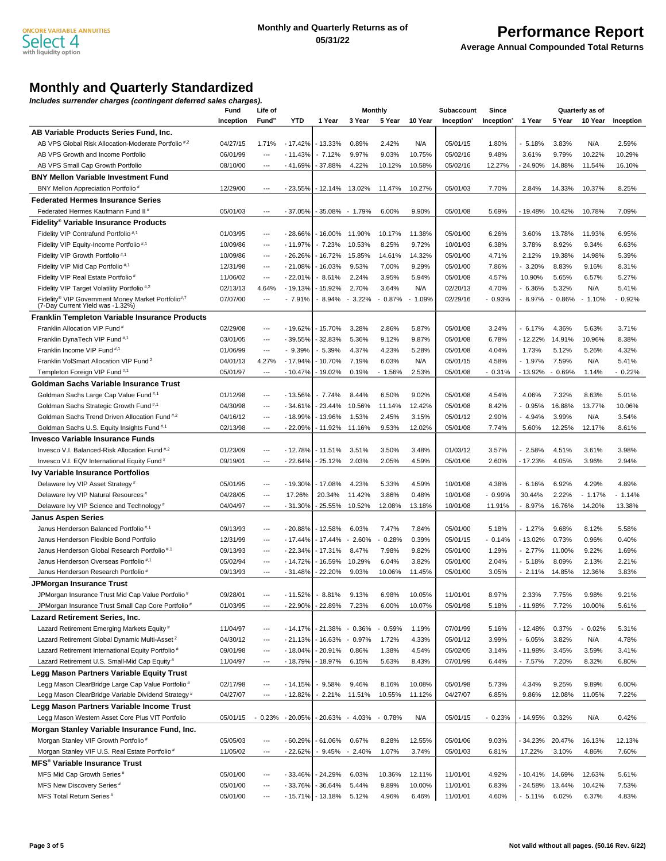## **Performance Report**

**Average Annual Compounded Total Returns**

### **Monthly and Quarterly Standardized**

**Includes surrender charges (contingent deferred sales charges).**

|                                                                 | Fund      | Life of                  |           |           | <b>Monthly</b>          |           |                                   | <b>Subaccount</b> | Since     | Quarterly as of |          |          |                                   |
|-----------------------------------------------------------------|-----------|--------------------------|-----------|-----------|-------------------------|-----------|-----------------------------------|-------------------|-----------|-----------------|----------|----------|-----------------------------------|
|                                                                 | Inception | Fund <sup>"</sup>        | YTD       | 1 Year    | 3 Year                  | 5 Year    | 10 Year                           | Inception         | Inception | 1 Year          | 5 Year   | 10 Year  | Inception                         |
| AB Variable Products Series Fund, Inc.                          |           |                          |           |           |                         |           |                                   |                   |           |                 |          |          |                                   |
| AB VPS Global Risk Allocation-Moderate Portfolio <sup>#,2</sup> | 04/27/15  | 1.71%                    | $-17.42%$ | - 13.33%  | 0.89%                   | 2.42%     | N/A                               | 05/01/15          | 1.80%     | 5.18%           | 3.83%    | N/A      | 2.59%                             |
| AB VPS Growth and Income Portfolio                              | 06/01/99  | $\hspace{0.05cm} \ldots$ | $-11.43%$ | $-7.12%$  | 9.97%                   | 9.03%     | 10.75%                            | 05/02/16          | 9.48%     | 3.61%           | 9.79%    | 10.22%   | 10.29%                            |
| AB VPS Small Cap Growth Portfolio                               | 08/10/00  | $\overline{a}$           | - 41.69%  | 37.88%    | 4.22%                   | 10.12%    | 10.58%                            | 05/02/16          | 12.27%    | 24.90%          | 14.88%   | 11.54%   | 16.10%                            |
| <b>BNY Mellon Variable Investment Fund</b>                      |           |                          |           |           |                         |           |                                   |                   |           |                 |          |          |                                   |
| BNY Mellon Appreciation Portfolio <sup>#</sup>                  | 12/29/00  | $\overline{\phantom{a}}$ | $-23.55%$ | - 12.14%  | 13.02%                  | 11.47%    | 10.27%                            | 05/01/03          | 7.70%     | 2.84%           | 14.33%   | 10.37%   | 8.25%                             |
| <b>Federated Hermes Insurance Series</b>                        |           |                          |           |           |                         |           |                                   |                   |           |                 |          |          |                                   |
| Federated Hermes Kaufmann Fund II <sup>*</sup>                  | 05/01/03  | $\overline{a}$           | $-37.05%$ |           | 35.08% - 1.79%          | 6.00%     | 9.90%                             | 05/01/08          | 5.69%     | 19.48%          | 10.42%   | 10.78%   | 7.09%                             |
| Fidelity® Variable Insurance Products                           |           |                          |           |           |                         |           |                                   |                   |           |                 |          |          |                                   |
| Fidelity VIP Contrafund Portfolio <sup>#,1</sup>                | 01/03/95  | $---$                    | $-28.66%$ | - 16.00%  | 11.90%                  | 10.17%    | 11.38%                            | 05/01/00          | 6.26%     | 3.60%           | 13.78%   | 11.93%   | 6.95%                             |
| Fidelity VIP Equity-Income Portfolio <sup>#,1</sup>             | 10/09/86  | $\overline{\phantom{a}}$ | $-11.97%$ | $-7.23%$  | 10.53%                  | 8.25%     | 9.72%                             | 10/01/03          | 6.38%     | 3.78%           | 8.92%    | 9.34%    | 6.63%                             |
| Fidelity VIP Growth Portfolio <sup>#,1</sup>                    | 10/09/86  | $\overline{\phantom{a}}$ | $-26.26%$ | - 16.72%  | 15.85%                  | 14.61%    | 14.32%                            | 05/01/00          | 4.71%     | 2.12%           | 19.38%   | 14.98%   | 5.39%                             |
| Fidelity VIP Mid Cap Portfolio <sup>#,1</sup>                   | 12/31/98  | $\hspace{0.05cm} \ldots$ | $-21.08%$ | - 16.03%  | 9.53%                   | 7.00%     | 9.29%                             | 05/01/00          | 7.86%     | 3.20%           | 8.83%    | 9.16%    | 8.31%                             |
| Fidelity VIP Real Estate Portfolio <sup>#</sup>                 | 11/06/02  | $\hspace{0.05cm} \ldots$ | $-22.01%$ | 8.61%     | 2.24%                   | 3.95%     | 5.94%                             | 05/01/08          | 4.57%     | 10.90%          | 5.65%    | 6.57%    | 5.27%                             |
| Fidelity VIP Target Volatility Portfolio <sup>#,2</sup>         | 02/13/13  | 4.64%                    | $-19.13%$ | - 15.92%  | 2.70%                   | 3.64%     | N/A                               | 02/20/13          | 4.70%     | 6.36%           | 5.32%    | N/A      | 5.41%                             |
| Fidelity® VIP Government Money Market Portfolio#,7              | 07/07/00  | ---                      | $-7.91%$  | 8.94%     | $-3.22%$                | $-0.87\%$ | 1.09%<br>$\overline{\phantom{a}}$ | 02/29/16          | $-0.93%$  | 8.97%           | $-0.86%$ | $-1.10%$ | 0.92%<br>$\overline{\phantom{a}}$ |
| (7-Day Current Yield was -1.32%)                                |           |                          |           |           |                         |           |                                   |                   |           |                 |          |          |                                   |
| <b>Franklin Templeton Variable Insurance Products</b>           |           |                          |           |           |                         |           |                                   |                   |           |                 |          |          |                                   |
| Franklin Allocation VIP Fund <sup>#</sup>                       | 02/29/08  | $\hspace{0.05cm} \ldots$ | $-19.62%$ | - 15.70%  | 3.28%                   | 2.86%     | 5.87%                             | 05/01/08          | 3.24%     | 6.17%           | 4.36%    | 5.63%    | 3.71%                             |
| Franklin DynaTech VIP Fund <sup>#,1</sup>                       | 03/01/05  | ---                      | $-39.55%$ | 32.83%    | 5.36%                   | 9.12%     | 9.87%                             | 05/01/08          | 6.78%     | - 12.22%        | 14.91%   | 10.96%   | 8.38%                             |
| Franklin Income VIP Fund <sup>#,1</sup>                         | 01/06/99  | $---$                    | $-9.39%$  | $-5.39%$  | 4.37%                   | 4.23%     | 5.28%                             | 05/01/08          | 4.04%     | 1.73%           | 5.12%    | 5.26%    | 4.32%                             |
| Franklin VolSmart Allocation VIP Fund <sup>2</sup>              | 04/01/13  | 4.27%                    | $-17.94%$ | - 10.70%  | 7.19%                   | 6.03%     | N/A                               | 05/01/15          | 4.58%     | - 1.97%         | 7.59%    | N/A      | 5.41%                             |
| Templeton Foreign VIP Fund <sup>#,1</sup>                       | 05/01/97  | $\overline{\phantom{a}}$ | $-10.47%$ | - 19.02%  | 0.19%                   | $-1.56%$  | 2.53%                             | 05/01/08          | $-0.31%$  | - 13.92%        | $-0.69%$ | 1.14%    | $-0.22%$                          |
| Goldman Sachs Variable Insurance Trust                          |           |                          |           |           |                         |           |                                   |                   |           |                 |          |          |                                   |
| Goldman Sachs Large Cap Value Fund <sup>#,1</sup>               | 01/12/98  | $\hspace{0.05cm} \ldots$ | $-13.56%$ | $-7.74%$  | 8.44%                   | 6.50%     | 9.02%                             | 05/01/08          | 4.54%     | 4.06%           | 7.32%    | 8.63%    | 5.01%                             |
| Goldman Sachs Strategic Growth Fund <sup>#,1</sup>              | 04/30/98  | $\overline{\phantom{a}}$ | $-34.61%$ | 23.44%    | 10.56%                  | 11.14%    | 12.42%                            | 05/01/08          | 8.42%     | 0.95%           | 16.88%   | 13.77%   | 10.06%                            |
| Goldman Sachs Trend Driven Allocation Fund <sup>#,2</sup>       | 04/16/12  | $\hspace{0.05cm} \ldots$ | $-18.99%$ | - 13.96%  | 1.53%                   | 2.45%     | 3.15%                             | 05/01/12          | 2.90%     | - 4.94%         | 3.99%    | N/A      | 3.54%                             |
| Goldman Sachs U.S. Equity Insights Fund <sup>#,1</sup>          | 02/13/98  | ---                      | $-22.09%$ | - 11.92%  | 11.16%                  | 9.53%     | 12.02%                            | 05/01/08          | 7.74%     | 5.60%           | 12.25%   | 12.17%   | 8.61%                             |
| Invesco Variable Insurance Funds                                |           |                          |           |           |                         |           |                                   |                   |           |                 |          |          |                                   |
| Invesco V.I. Balanced-Risk Allocation Fund <sup>#,2</sup>       | 01/23/09  | ---                      | $-12.78%$ | - 11.51%  | 3.51%                   | 3.50%     | 3.48%                             | 01/03/12          | 3.57%     | 2.58%           | 4.51%    | 3.61%    | 3.98%                             |
| Invesco V.I. EQV International Equity Fund <sup>#</sup>         | 09/19/01  | $\overline{\phantom{a}}$ | $-22.64%$ | 25.12%    | 2.03%                   | 2.05%     | 4.59%                             | 05/01/06          | 2.60%     | - 17.23%        | 4.05%    | 3.96%    | 2.94%                             |
| <b>Ivy Variable Insurance Portfolios</b>                        |           |                          |           |           |                         |           |                                   |                   |           |                 |          |          |                                   |
| Delaware Ivy VIP Asset Strategy <sup>#</sup>                    | 05/01/95  | $\overline{\phantom{a}}$ | $-19.30%$ | - 17.08%  | 4.23%                   | 5.33%     | 4.59%                             | 10/01/08          | 4.38%     | 6.16%           | 6.92%    | 4.29%    | 4.89%                             |
| Delaware Ivy VIP Natural Resources <sup>#</sup>                 | 04/28/05  | $\hspace{0.05cm} \ldots$ | 17.26%    | 20.34%    | 11.42%                  | 3.86%     | 0.48%                             | 10/01/08          | $-0.99%$  | 30.44%          | 2.22%    | $-1.17%$ | $-1.14%$                          |
| Delaware Ivy VIP Science and Technology <sup>#</sup>            | 04/04/97  | ---                      | $-31.30%$ | $-25.55%$ | 10.52%                  | 12.08%    | 13.18%                            | 10/01/08          | 11.91%    | - 8.97%         | 16.76%   | 14.20%   | 13.38%                            |
| <b>Janus Aspen Series</b>                                       |           |                          |           |           |                         |           |                                   |                   |           |                 |          |          |                                   |
| Janus Henderson Balanced Portfolio <sup>#,1</sup>               | 09/13/93  | $\hspace{0.05cm} \ldots$ | $-20.88%$ | - 12.58%  | 6.03%                   | 7.47%     | 7.84%                             | 05/01/00          | 5.18%     | 1.27%           | 9.68%    | 8.12%    | 5.58%                             |
| Janus Henderson Flexible Bond Portfolio                         | 12/31/99  | $\overline{\phantom{a}}$ | $-17.44%$ | - 17.44%  | $-2.60%$                | $-0.28%$  | 0.39%                             | 05/01/15          | $-0.14%$  | - 13.02%        | 0.73%    | 0.96%    | 0.40%                             |
| Janus Henderson Global Research Portfolio <sup>#,1</sup>        | 09/13/93  | $\hspace{0.05cm} \ldots$ | $-22.34%$ | $-17.31%$ | 8.47%                   | 7.98%     | 9.82%                             | 05/01/00          | 1.29%     | 2.77%           | 11.00%   | 9.22%    | 1.69%                             |
| Janus Henderson Overseas Portfolio <sup>#,1</sup>               | 05/02/94  | ---                      | $-14.72%$ | - 16.59%  | 10.29%                  | 6.04%     | 3.82%                             | 05/01/00          | 2.04%     | 5.18%           | 8.09%    | 2.13%    | 2.21%                             |
| Janus Henderson Research Portfolio#                             | 09/13/93  | $\overline{\phantom{a}}$ | $-31.48%$ | 22.20%    | 9.03%                   | 10.06%    | 11.45%                            | 05/01/00          | 3.05%     | - 2.11%         | 14.85%   | 12.36%   | 3.83%                             |
| JPMorgan Insurance Trust                                        |           |                          |           |           |                         |           |                                   |                   |           |                 |          |          |                                   |
| JPMorgan Insurance Trust Mid Cap Value Portfolio #              | 09/28/01  |                          | 11.52%    | 8.81%     | 9.13%                   | 6.98%     | 10.05%                            | 11/01/01          | 8.97%     | 2.33%           | 7.75%    | 9.98%    | 9.21%                             |
| JPMorgan Insurance Trust Small Cap Core Portfolio#              | 01/03/95  | $\hspace{0.05cm} \ldots$ | $-22.90%$ | 22.89%    | 7.23%                   | 6.00%     | 10.07%                            | 05/01/98          | 5.18%     | - 11.98%        | 7.72%    | 10.00%   | 5.61%                             |
| Lazard Retirement Series, Inc.                                  |           |                          |           |           |                         |           |                                   |                   |           |                 |          |          |                                   |
| Lazard Retirement Emerging Markets Equity#                      | 11/04/97  | $\hspace{0.05cm} \ldots$ | $-14.17%$ | - 21.38%  | $-0.36%$                | $-0.59%$  | 1.19%                             | 07/01/99          | 5.16%     | $-12.48%$       | 0.37%    | 0.02%    | 5.31%                             |
| Lazard Retirement Global Dynamic Multi-Asset <sup>2</sup>       | 04/30/12  | $\overline{\phantom{a}}$ | $-21.13%$ | - 16.63%  | 0.97%<br>$\blacksquare$ | 1.72%     | 4.33%                             | 05/01/12          | 3.99%     | 6.05%           | 3.82%    | N/A      | 4.78%                             |
| Lazard Retirement International Equity Portfolio#               | 09/01/98  | $\hspace{0.05cm} \ldots$ | $-18.04%$ | $-20.91%$ | 0.86%                   | 1.38%     | 4.54%                             | 05/02/05          | 3.14%     | $-11.98%$       | 3.45%    | 3.59%    | 3.41%                             |
| Lazard Retirement U.S. Small-Mid Cap Equity #                   | 11/04/97  | $\hspace{0.05cm} \ldots$ | $-18.79%$ | - 18.97%  | 6.15%                   | 5.63%     | 8.43%                             | 07/01/99          | 6.44%     | - 7.57%         | 7.20%    | 8.32%    | 6.80%                             |
| Legg Mason Partners Variable Equity Trust                       |           |                          |           |           |                         |           |                                   |                   |           |                 |          |          |                                   |
|                                                                 |           | ---                      |           |           | 9.46%                   |           |                                   |                   |           |                 | 9.25%    |          |                                   |
| Legg Mason ClearBridge Large Cap Value Portfolio#               | 02/17/98  |                          | $-14.15%$ | 9.58%     |                         | 8.16%     | 10.08%                            | 05/01/98          | 5.73%     | 4.34%           |          | 9.89%    | 6.00%                             |
| Legg Mason ClearBridge Variable Dividend Strategy <sup>#</sup>  | 04/27/07  | $\hspace{0.05cm} \ldots$ | $-12.82%$ | - 2.21%   | 11.51%                  | 10.55%    | 11.12%                            | 04/27/07          | 6.85%     | 9.86%           | 12.08%   | 11.05%   | 7.22%                             |
| Legg Mason Partners Variable Income Trust                       |           |                          |           |           |                         |           |                                   |                   |           |                 |          |          |                                   |
| Legg Mason Western Asset Core Plus VIT Portfolio                | 05/01/15  | $-0.23%$                 | $-20.05%$ | 20.63%    | $-4.03%$                | $-0.78%$  | N/A                               | 05/01/15          | $-0.23%$  | - 14.95%        | 0.32%    | N/A      | 0.42%                             |
| Morgan Stanley Variable Insurance Fund, Inc.                    |           |                          |           |           |                         |           |                                   |                   |           |                 |          |          |                                   |
| Morgan Stanley VIF Growth Portfolio#                            | 05/05/03  | ---                      | $-60.29%$ | 61.06%    | 0.67%                   | 8.28%     | 12.55%                            | 05/01/06          | 9.03%     | 34.23%          | 20.47%   | 16.13%   | 12.13%                            |
| Morgan Stanley VIF U.S. Real Estate Portfolio#                  | 11/05/02  | $\hspace{0.05cm} \ldots$ | $-22.62%$ | 9.45%     | $-2.40%$                | 1.07%     | 3.74%                             | 05/01/03          | 6.81%     | 17.22%          | 3.10%    | 4.86%    | 7.60%                             |
| MFS <sup>®</sup> Variable Insurance Trust                       |           |                          |           |           |                         |           |                                   |                   |           |                 |          |          |                                   |
| MFS Mid Cap Growth Series <sup>#</sup>                          | 05/01/00  | $\hspace{0.05cm} \ldots$ | $-33.46%$ | - 24.29%  | 6.03%                   | 10.36%    | 12.11%                            | 11/01/01          | 4.92%     | - 10.41%        | 14.69%   | 12.63%   | 5.61%                             |
| MFS New Discovery Series <sup>#</sup>                           | 05/01/00  | $\hspace{0.05cm} \ldots$ | -33.76%   | 36.64%    | 5.44%                   | 9.89%     | 10.00%                            | 11/01/01          | 6.83%     | 24.58%          | 13.44%   | 10.42%   | 7.53%                             |
| MFS Total Return Series <sup>#</sup>                            | 05/01/00  | ---                      | $-15.71%$ | $-13.18%$ | 5.12%                   | 4.96%     | 6.46%                             | 11/01/01          | 4.60%     | $-5.11%$        | 6.02%    | 6.37%    | 4.83%                             |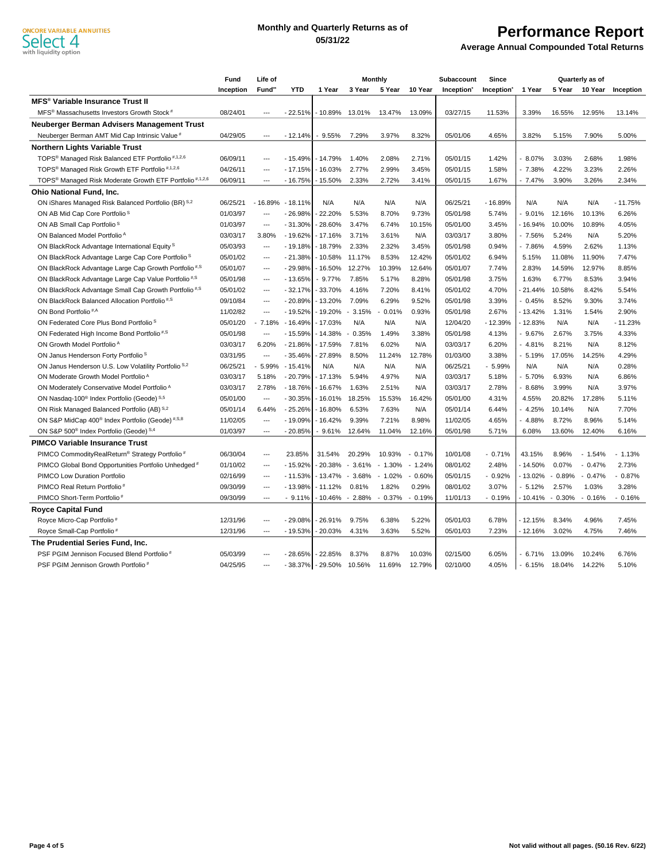#### **Monthly and Quarterly Returns as of 05/31/22**

## **Performance Report**

**Average Annual Compounded Total Returns**

|                                                                                 | Fund      | Life of                  |            | <b>Monthly</b> |          |          | Subaccount                        | Since                  | Quarterly as of |          |          |                |           |
|---------------------------------------------------------------------------------|-----------|--------------------------|------------|----------------|----------|----------|-----------------------------------|------------------------|-----------------|----------|----------|----------------|-----------|
|                                                                                 | Inception | Fund <sup>*</sup>        | <b>YTD</b> | 1 Year         | 3 Year   | 5 Year   | 10 Year                           | Inception <sup>'</sup> | Inception       | 1 Year   |          | 5 Year 10 Year | Inception |
| <b>MFS<sup>®</sup> Variable Insurance Trust II</b>                              |           |                          |            |                |          |          |                                   |                        |                 |          |          |                |           |
| MFS <sup>®</sup> Massachusetts Investors Growth Stock <sup>#</sup>              | 08/24/01  | $\overline{\phantom{a}}$ | $-22.51%$  | - 10.89%       | 13.01%   | 13.47%   | 13.09%                            | 03/27/15               | 11.53%          | 3.39%    | 16.55%   | 12.95%         | 13.14%    |
| Neuberger Berman Advisers Management Trust                                      |           |                          |            |                |          |          |                                   |                        |                 |          |          |                |           |
| Neuberger Berman AMT Mid Cap Intrinsic Value <sup>#</sup>                       | 04/29/05  | $\overline{\phantom{a}}$ | $-12.14%$  | $-9.55%$       | 7.29%    | 3.97%    | 8.32%                             | 05/01/06               | 4.65%           | 3.82%    | 5.15%    | 7.90%          | 5.00%     |
| <b>Northern Lights Variable Trust</b>                                           |           |                          |            |                |          |          |                                   |                        |                 |          |          |                |           |
| TOPS <sup>®</sup> Managed Risk Balanced ETF Portfolio <sup>#,1,2,6</sup>        | 06/09/11  | ---                      | $-15.49%$  | $-14.79%$      | 1.40%    | 2.08%    | 2.71%                             | 05/01/15               | 1.42%           | 8.07%    | 3.03%    | 2.68%          | 1.98%     |
| TOPS® Managed Risk Growth ETF Portfolio #,1,2,6                                 | 04/26/11  | $\overline{\phantom{a}}$ | $-17.15%$  | $-16.03%$      | 2.77%    | 2.99%    | 3.45%                             | 05/01/15               | 1.58%           | 7.38%    | 4.22%    | 3.23%          | 2.26%     |
| TOPS <sup>®</sup> Managed Risk Moderate Growth ETF Portfolio <sup>#,1,2,6</sup> | 06/09/11  | ---                      | $-16.75%$  | - 15.50%       | 2.33%    | 2.72%    | 3.41%                             | 05/01/15               | 1.67%           | 7.47%    | 3.90%    | 3.26%          | 2.34%     |
| <b>Ohio National Fund, Inc.</b>                                                 |           |                          |            |                |          |          |                                   |                        |                 |          |          |                |           |
| ON iShares Managed Risk Balanced Portfolio (BR) S,2                             | 06/25/21  | $-16.89%$                | $-18.11%$  | N/A            | N/A      | N/A      | N/A                               | 06/25/21               | - 16.89%        | N/A      | N/A      | N/A            | $-11.75%$ |
| ON AB Mid Cap Core Portfolio <sup>S</sup>                                       | 01/03/97  | ---                      | $-26.98%$  | 22.20%         | 5.53%    | 8.70%    | 9.73%                             | 05/01/98               | 5.74%           | 9.01%    | 12.16%   | 10.13%         | 6.26%     |
| ON AB Small Cap Portfolio <sup>S</sup>                                          | 01/03/97  | ---                      | $-31.30%$  | 28.60%         | 3.47%    | 6.74%    | 10.15%                            | 05/01/00               | 3.45%           | 16.94%   | 10.00%   | 10.89%         | 4.05%     |
| ON Balanced Model Portfolio <sup>A</sup>                                        | 03/03/17  | 3.80%                    | $-19.62%$  | $-17.16%$      | 3.71%    | 3.61%    | N/A                               | 03/03/17               | 3.80%           | $-7.56%$ | 5.24%    | N/A            | 5.20%     |
| ON BlackRock Advantage International Equity <sup>S</sup>                        | 05/03/93  | $\overline{a}$           | $-19.18%$  | - 18.79%       | 2.33%    | 2.32%    | 3.45%                             | 05/01/98               | 0.94%           | 7.86%    | 4.59%    | 2.62%          | 1.13%     |
| ON BlackRock Advantage Large Cap Core Portfolio <sup>S</sup>                    | 05/01/02  | $\overline{\phantom{a}}$ | $-21.38%$  | - 10.58%       | 11.17%   | 8.53%    | 12.42%                            | 05/01/02               | 6.94%           | 5.15%    | 11.08%   | 11.90%         | 7.47%     |
| ON BlackRock Advantage Large Cap Growth Portfolio #,S                           | 05/01/07  | $\overline{\phantom{a}}$ | $-29.98%$  | $-16.50%$      | 12.27%   | 10.39%   | 12.64%                            | 05/01/07               | 7.74%           | 2.83%    | 14.59%   | 12.97%         | 8.85%     |
| ON BlackRock Advantage Large Cap Value Portfolio <sup>#,S</sup>                 | 05/01/98  | ---                      | $-13.65%$  | 9.77%          | 7.85%    | 5.17%    | 8.28%                             | 05/01/98               | 3.75%           | 1.63%    | 6.77%    | 8.53%          | 3.94%     |
| ON BlackRock Advantage Small Cap Growth Portfolio <sup>#,S</sup>                | 05/01/02  | ---                      | $-32.17%$  | 33.70%         | 4.16%    | 7.20%    | 8.41%                             | 05/01/02               | 4.70%           | 21.44%   | 10.58%   | 8.42%          | 5.54%     |
| ON BlackRock Balanced Allocation Portfolio <sup>#,S</sup>                       | 09/10/84  | ---                      | $-20.89%$  | - 13.20%       | 7.09%    | 6.29%    | 9.52%                             | 05/01/98               | 3.39%           | 0.45%    | 8.52%    | 9.30%          | 3.74%     |
| ON Bond Portfolio <sup>#,A</sup>                                                | 11/02/82  | $\overline{\phantom{a}}$ | $-19.52%$  | - 19.20%       | $-3.15%$ | 0.01%    | 0.93%                             | 05/01/98               | 2.67%           | 13.42%   | 1.31%    | 1.54%          | 2.90%     |
| ON Federated Core Plus Bond Portfolio <sup>S</sup>                              | 05/01/20  | 7.18%                    | $-16.49%$  | $-17.03%$      | N/A      | N/A      | N/A                               | 12/04/20               | - 12.39%        | 12.83%   | N/A      | N/A            | $-11.23%$ |
| ON Federated High Income Bond Portfolio <sup>#,S</sup>                          | 05/01/98  | $\overline{\phantom{a}}$ | $-15.59%$  | - 14.38%       | $-0.35%$ | 1.49%    | 3.38%                             | 05/01/98               | 4.13%           | 9.67%    | 2.67%    | 3.75%          | 4.33%     |
| ON Growth Model Portfolio <sup>A</sup>                                          | 03/03/17  | 6.20%                    | $-21.86%$  | - 17.59%       | 7.81%    | 6.02%    | N/A                               | 03/03/17               | 6.20%           | 4.81%    | 8.21%    | N/A            | 8.12%     |
| ON Janus Henderson Forty Portfolio <sup>S</sup>                                 | 03/31/95  | $\overline{\phantom{a}}$ | $-35.46%$  | 27.89%         | 8.50%    | 11.24%   | 12.78%                            | 01/03/00               | 3.38%           | 5.19%    | 17.05%   | 14.25%         | 4.29%     |
| ON Janus Henderson U.S. Low Volatility Portfolio S,2                            | 06/25/21  | 5.99%                    | $-15.41%$  | N/A            | N/A      | N/A      | N/A                               | 06/25/21               | $-5.99%$        | N/A      | N/A      | N/A            | 0.28%     |
| ON Moderate Growth Model Portfolio <sup>A</sup>                                 | 03/03/17  | 5.18%                    | $-20.79%$  | - 17.13%       | 5.94%    | 4.97%    | N/A                               | 03/03/17               | 5.18%           | 5.70%    | 6.93%    | N/A            | 6.86%     |
| ON Moderately Conservative Model Portfolio A                                    | 03/03/17  | 2.78%                    | $-18.76%$  | - 16.67%       | 1.63%    | 2.51%    | N/A                               | 03/03/17               | 2.78%           | 8.68%    | 3.99%    | N/A            | 3.97%     |
| ON Nasdaq-100 <sup>®</sup> Index Portfolio (Geode) S,5                          | 05/01/00  | ---                      | $-30.35%$  | - 16.01%       | 18.25%   | 15.53%   | 16.42%                            | 05/01/00               | 4.31%           | 4.55%    | 20.82%   | 17.28%         | 5.11%     |
| ON Risk Managed Balanced Portfolio (AB) S,2                                     | 05/01/14  | 6.44%                    | $-25.26%$  | - 16.80%       | 6.53%    | 7.63%    | N/A                               | 05/01/14               | 6.44%           | 4.25%    | 10.14%   | N/A            | 7.70%     |
| ON S&P MidCap 400 <sup>®</sup> Index Portfolio (Geode) #,S,8                    | 11/02/05  | ---                      | $-19.09%$  | - 16.42%       | 9.39%    | 7.21%    | 8.98%                             | 11/02/05               | 4.65%           | 4.88%    | 8.72%    | 8.96%          | 5.14%     |
| ON S&P 500 <sup>®</sup> Index Portfolio (Geode) S,4                             | 01/03/97  | $\overline{\phantom{a}}$ | $-20.85%$  | 9.61%          | 12.64%   | 11.04%   | 12.16%                            | 05/01/98               | 5.71%           | 6.08%    | 13.60%   | 12.40%         | 6.16%     |
| <b>PIMCO Variable Insurance Trust</b>                                           |           |                          |            |                |          |          |                                   |                        |                 |          |          |                |           |
| PIMCO CommodityRealReturn® Strategy Portfolio#                                  | 06/30/04  | $\overline{\phantom{a}}$ | 23.85%     | 31.54%         | 20.29%   | 10.93%   | $-0.17%$                          | 10/01/08               | $-0.71%$        | 43.15%   | 8.96%    | $-1.54%$       | $-1.13%$  |
| PIMCO Global Bond Opportunities Portfolio Unhedged <sup>#</sup>                 | 01/10/02  | ---                      | $-15.92%$  | 20.38%         | $-3.61%$ | $-1.30%$ | 1.24%<br>$\blacksquare$           | 08/01/02               | 2.48%           | 14.50%   | 0.07%    | $-0.47%$       | 2.73%     |
| PIMCO Low Duration Portfolio                                                    | 02/16/99  | ---                      | $-11.53%$  | - 13.47%       | $-3.68%$ | $-1.02%$ | 0.60%<br>$\overline{\phantom{a}}$ | 05/01/15               | $-0.92%$        | 13.02%   | $-0.89%$ | $-0.47%$       | $-0.87%$  |
| PIMCO Real Return Portfolio <sup>#</sup>                                        | 09/30/99  | ---                      | $-13.98%$  | $-11.12%$      | 0.81%    | 1.82%    | 0.29%                             | 08/01/02               | 3.07%           | 5.12%    | 2.57%    | 1.03%          | 3.28%     |
| PIMCO Short-Term Portfolio <sup>#</sup>                                         | 09/30/99  | ---                      | $-9.11%$   | 10.46%         | $-2.88%$ | $-0.37%$ | 0.19%                             | 11/01/13               | $-0.19%$        | 10.41%   | $-0.30%$ | $-0.16%$       | $-0.16%$  |
| <b>Royce Capital Fund</b>                                                       |           |                          |            |                |          |          |                                   |                        |                 |          |          |                |           |
| Royce Micro-Cap Portfolio <sup>#</sup>                                          | 12/31/96  | $\overline{\phantom{a}}$ | $-29.08%$  | $-26.91%$      | 9.75%    | 6.38%    | 5.22%                             | 05/01/03               | 6.78%           | 12.15%   | 8.34%    | 4.96%          | 7.45%     |
| Royce Small-Cap Portfolio <sup>#</sup>                                          | 12/31/96  | $\overline{\phantom{a}}$ | $-19.53%$  | 20.03%         | 4.31%    | 3.63%    | 5.52%                             | 05/01/03               | 7.23%           | 12.16%   | 3.02%    | 4.75%          | 7.46%     |
| The Prudential Series Fund, Inc.                                                |           |                          |            |                |          |          |                                   |                        |                 |          |          |                |           |
| PSF PGIM Jennison Focused Blend Portfolio#                                      | 05/03/99  | ---                      | $-28.65%$  | 22.85%         | 8.37%    | 8.87%    | 10.03%                            | 02/15/00               | 6.05%           | 6.71%    | 13.09%   | 10.24%         | 6.76%     |
| PSF PGIM Jennison Growth Portfolio <sup>#</sup>                                 | 04/25/95  | ---                      | $-38.37%$  | $-29.50\%$     | 10.56%   | 11.69%   | 12.79%                            | 02/10/00               | 4.05%           | 6.15%    | 18.04%   | 14.22%         | 5.10%     |